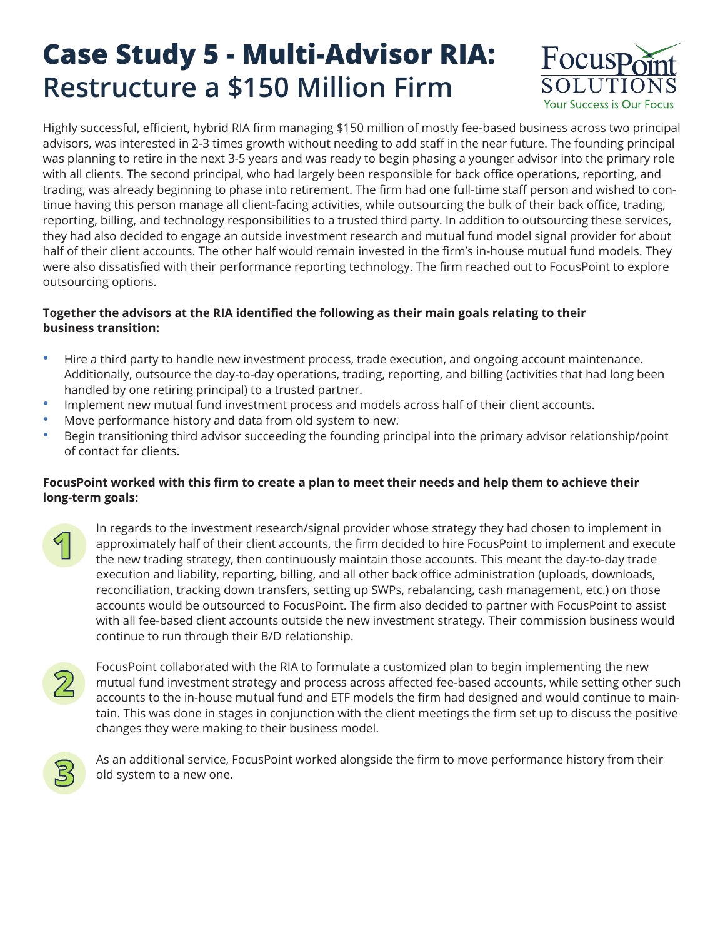## **Case Study 5 - Multi-Advisor RIA: Restructure a \$150 Million Firm**



Highly successful, efficient, hybrid RIA firm managing \$150 million of mostly fee-based business across two principal advisors, was interested in 2-3 times growth without needing to add staff in the near future. The founding principal was planning to retire in the next 3-5 years and was ready to begin phasing a younger advisor into the primary role with all clients. The second principal, who had largely been responsible for back office operations, reporting, and trading, was already beginning to phase into retirement. The firm had one full-time staff person and wished to continue having this person manage all client-facing activities, while outsourcing the bulk of their back office, trading, reporting, billing, and technology responsibilities to a trusted third party. In addition to outsourcing these services, they had also decided to engage an outside investment research and mutual fund model signal provider for about half of their client accounts. The other half would remain invested in the firm's in-house mutual fund models. They were also dissatisfied with their performance reporting technology. The firm reached out to FocusPoint to explore outsourcing options.

## **Together the advisors at the RIA identified the following as their main goals relating to their business transition:**

- Hire a third party to handle new investment process, trade execution, and ongoing account maintenance. Additionally, outsource the day-to-day operations, trading, reporting, and billing (activities that had long been handled by one retiring principal) to a trusted partner.
- Implement new mutual fund investment process and models across half of their client accounts.
- Move performance history and data from old system to new.
- Begin transitioning third advisor succeeding the founding principal into the primary advisor relationship/point of contact for clients.

## **FocusPoint worked with this firm to create a plan to meet their needs and help them to achieve their long-term goals:**

In regards to the investment research/signal provider whose strategy they had chosen to implement in approximately half of their client accounts, the firm decided to hire FocusPoint to implement and execute the new trading strategy, then continuously maintain those accounts. This meant the day-to-day trade execution and liability, reporting, billing, and all other back office administration (uploads, downloads, reconciliation, tracking down transfers, setting up SWPs, rebalancing, cash management, etc.) on those accounts would be outsourced to FocusPoint. The firm also decided to partner with FocusPoint to assist with all fee-based client accounts outside the new investment strategy. Their commission business would continue to run through their B/D relationship.



FocusPoint collaborated with the RIA to formulate a customized plan to begin implementing the new mutual fund investment strategy and process across affected fee-based accounts, while setting other such accounts to the in-house mutual fund and ETF models the firm had designed and would continue to maintain. This was done in stages in conjunction with the client meetings the firm set up to discuss the positive changes they were making to their business model.



As an additional service, FocusPoint worked alongside the firm to move performance history from their old system to a new one.